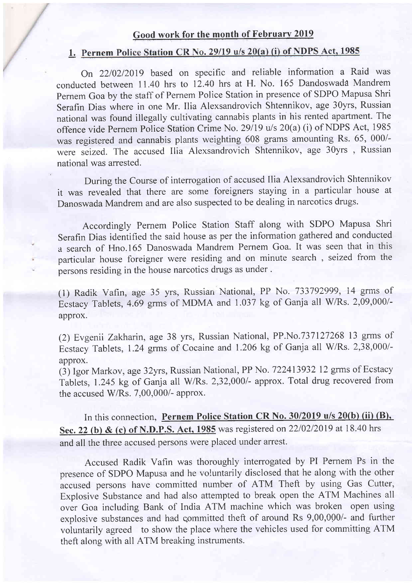## Good work for the month of February 2019

# 1. Pernem Police Station CR No. 29/19 u/s 20(a) (i) of NDPS Act, 1985

On 22/02/2019 based on specific and reliable information a Raid was conducted between 11.40 hrs to 12.40 hrs at H. No. 165 Dandoswada Mandrem pernem Goa by the staff of Pernem Police Station in presence of SDPO Mapusa Shri Serafin Dias where in one Mr. Ilia Alexsandrovich Shtennikov, age 30yrs, Russian national was found illegally cultivating cannabis plants in his rented apartment. The offence vide Pernem Police Station Crime No. 29/19 u/s 20(a) (i) of NDPS Act, 1985 was registered and cannabis plants weighting 608 grams amounting Rs. 65, 000/ were seized. The accused Ilia Alexsandrovich Shtennikov, age 30yrs , Russian national was arrested.

During the Course of interrogalion of accused Ilia Alexsandrovich Shtennikov it was revealed that there are some foreigners staying in a particular house at Danoswada Mandrem and are also suspected to be dealing in narcotics drugs.

Accordingly Pernem Police Station Staff along with SDPO Mapusa Shri Serafin Dias identified the said house as per the information gathered and conducted a search of Hno.l65 Danoswada Mandrem Pernem Goa. It was seen that in this particular house foreigner were residing and on minute search , seized from the persons residing in the house narcotics drugs as under .

(1) Radik Vafin, age 35 yrs, Russiari Nationai, PP No. 733792999, i4 grms of Ecstacy Tablets, 4.69 grms of MDMA and 1.037 kg of Ganja all W/Rs. 2,09,000/approx.

(2) Evgenii Zakharin, age 38 yrs, Russian National, PP.No.737127268 13 grms of Ecstacy Tablets, 1.24 grrns of Cocaine and 1.206 kg of Ganja all W/Rs. 2,38,000/ approx.

(3) Igor Markov, age 32yrs, Russian National, PP No. 722413932 12 grms of Ecstacy Tablets, 1.245 kg of Ganja all W/Rs. 2,32,000/- approx. Total drug recovered from the accused W/Rs. 7,00,000/- approx.

In this connection, Pernem Police Station CR No. 30/2019 u/s 20(b) (ii) (B), Sec. 22 (b) & (c) of N.D.P.S. Act, 1985 was registered on 22/02/2019 at 18.40 hrs and all the three accused persons were placed under arrest.

Accused Radik Vafin was thoroughly interrogated by PI Pernem Ps in the presence of SDPO Mapusa and he voluntarily disclosed that he along with the other accused persons have committed number of ATM Theft by using Gas Cutter, Explosive Substance and had also attempted to break open the ATM Machines all over Goa including Bank of India ATM machine which was broken open using explosive substances and had committed theft of around Rs 9,00,000/- and further voluntarily agreed to show the place where the vehicles used for committing ATM theft along with all ATM breaking instruments.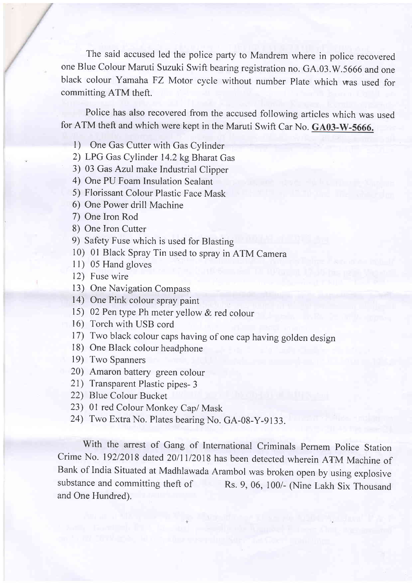The said accused led the police party to Mandrem where in police recovered one Blue Colour Maruti Suzuki Swift bearing registration no. GA.03.W.5066 and one black colour Yamaha FZ Motor cycle without number Plate which was used for committing ATM theft.

Police has also recovered from the accused following articles which was used for ATM theft and which were kept in the Maruti Swift Car No. GA03-W-5666.

- 1) One Gas Cutter with Gas Cylinder
- 2) LPG Gas Cylinder 14.2 kg Bharat Gas
- 3) 03 Gas Azul make Industrial Clipper
- 4) One PU Foam Insulation Sealant
- 5) Florissant Colour Plastic Face Mask
- 6) One Power drill Machine
- 7) One Iron Rod
- 8) One Iron Cutter
- 9) Safety Fuse which is used for Blasting
- 10) 0l Black Spray Tin used to spray in ATM Camera
- 11) 05 Hand gloves
- 12) Fuse wire
- l3) One Navigation Compass
- 14) One Pink colour spray paint
- 15) 02 Pen type Ph meter yellow & red colour
- l6) Torch with USB cord
- 17) Two black colour caps having of one cap having golden design
- l8) One Black colour headphone
- 19) Two Spanners
- 20) Amaron battery green colour
- 2l) Transparent Plastic pipes- <sup>3</sup>
- 22) Blue Colour Bucket
- 23) 01 red Colour Monkey Cap/ Mask
- 24) Two Extra No. Plates bearing No. GA-08-y-9133.

With the arrest of Gang of International Criminals Pernem Police Station Crime No. 192/2018 dated 20/11/2018 has been detected wherein ATM Machine of Bank of India Situated at Madhlawada Arambol was broken open by using explosive substance and committing theft of Rs. 9, 06, 100/- (Nine Lakh Six Thousand and One Hundred).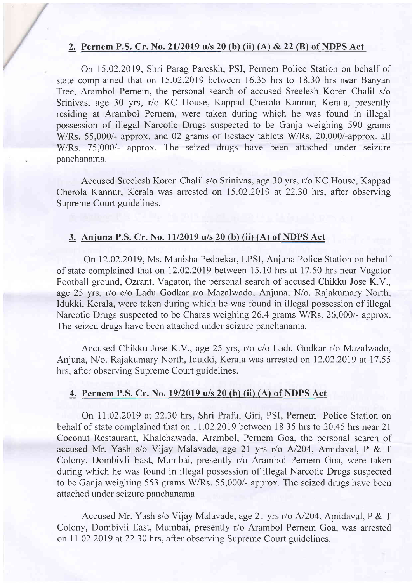#### 2. Pernem P.S. Cr. No. 21/2019 u/s 20 (b) (ii) (A) & 22 (B) of NDPS Act

On 15.02.2019, Shri Parag Pareskh, PSI, Pernem Police Station on behalf of state complained that on 15.02.2019 between 16.35 hrs to 18.30 hrs near Banyan Tree, Arambol Pernem, the personal search of accused Sreelesh Koren Chalil s/o Srinivas, age 30 yrs, r/o KC House, Kappad Cherola Kannur, Kerala, presently residing at Arambol Pernem, were taken during which he was found in illegal possession of illegal Narcotic Drugs suspected to be Ganja weighing 590 grams W/Rs. 55,000/- approx. and 02 grams of Ecstacy tablets W/Rs. 20,000/-approx. all W/Rs. 75,000/- approx. The seized drugs have been attached under seizure panchanama.

Accused Sreelesh Koren Chalil s/o Srinivas, age 30 yrs, r/o KC House, Kappad Cherola Kannur, Kerala was arrested on 15.02.2019 at 22.30 hrs, after observing Supreme Court guidelines.

#### 3. Anjuna P.S. Cr. No. 11/2019 u/s 20 (b) (ii) (A) of NDPS Act

On 12.02.2019, Ms. Manisha Pednekar, LPSI, Anjuna Police Station on behalf of state complained that on 12.02.2019 between 15.10 hrs at 17.50 hrs near Vagator Football ground, Ozrant, Vagator, the personal search of accused Chikku Jose K.V., age 25 yrs, r/o c/o Ladu Godkar r/o Mazalwado, Anjuna, N/o. Rajakumary North, Idukki, Kerala, were taken during which he was found in illegal possession of illegal Narcotic Drugs suspected to be Charas weighing 26.4 grams W/Rs. 26,000/- approx. The seized drugs have been attached under seizure panchanama.

Accused Chikku Jose K.V., age 25 yrs, r/o c/o Ladu Godkar r/o Mazalwado, Anjuna, N/o. Rajakumary North, Idukki, Kerala was arrested on 12.02.2019 at 17.55 hrs, after observing Supreme Court guidelines.

#### 4. Pernem P.S. Cr. No. 19/2019 u/s 20 (b) (ii) (A) of NDPS Act

On 11.02.2019 at 22.30 hrs, Shri Praful Giri, PSI, Pernem Police Station on behalf of state complained that on 11 .02.2019 between 18.35 hrs to 20.45 hrs near 21 Coconut Restaurant, Khalchawada, Arambol, Pernem Goa, the personal search of accused Mr. Yash s/o Vijay Malavade, age 2l yrs r/o A1204, Amidaval, P & <sup>T</sup> Colony, Dombivli East, Mumbai, presently r/o Arambol Pernem Goa, were taken during which he was found in illegal possession of illegal Narcotic Drugs suspected to be Ganja weighing 553 grams W/Rs. 55,000/- approx. The seized drugs have been attached under seizure panchanama.

Accused Mr. Yash s/o Vijay Malavade, age 21 yrs r/o A/204, Amidaval, P & T Colony, Dombivli East, Mumbai, presently r/o Arambol Pernem Goa, was arrested on 11.02.2019 at 22.30 hrs, after observing Supreme Court guidelines.